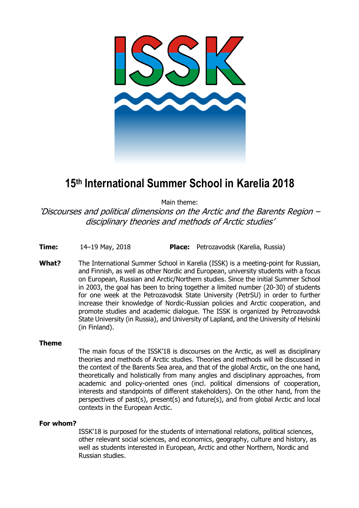

## **15th International Summer School in Karelia 2018**

Main theme:

'Discourses and political dimensions on the Arctic and the Barents Region – disciplinary theories and methods of Arctic studies'

**Time:** 14–19 May, 2018 **Place:** Petrozavodsk (Karelia, Russia)

**What?** The International Summer School in Karelia (ISSK) is a meeting-point for Russian, and Finnish, as well as other Nordic and European, university students with a focus on European, Russian and Arctic/Northern studies. Since the initial Summer School in 2003, the goal has been to bring together a limited number (20-30) of students for one week at the Petrozavodsk State University (PetrSU) in order to further increase their knowledge of Nordic-Russian policies and Arctic cooperation, and promote studies and academic dialogue. The ISSK is organized by Petrozavodsk State University (in Russia), and University of Lapland, and the University of Helsinki (in Finland).

## **Theme**

The main focus of the ISSK'18 is discourses on the Arctic, as well as disciplinary theories and methods of Arctic studies. Theories and methods will be discussed in the context of the Barents Sea area, and that of the global Arctic, on the one hand, theoretically and holistically from many angles and disciplinary approaches, from academic and policy-oriented ones (incl. political dimensions of cooperation, interests and standpoints of different stakeholders). On the other hand, from the perspectives of past(s), present(s) and future(s), and from global Arctic and local contexts in the European Arctic.

## **For whom?**

ISSK'18 is purposed for the students of international relations, political sciences, other relevant social sciences, and economics, geography, culture and history, as well as students interested in European, Arctic and other Northern, Nordic and Russian studies.